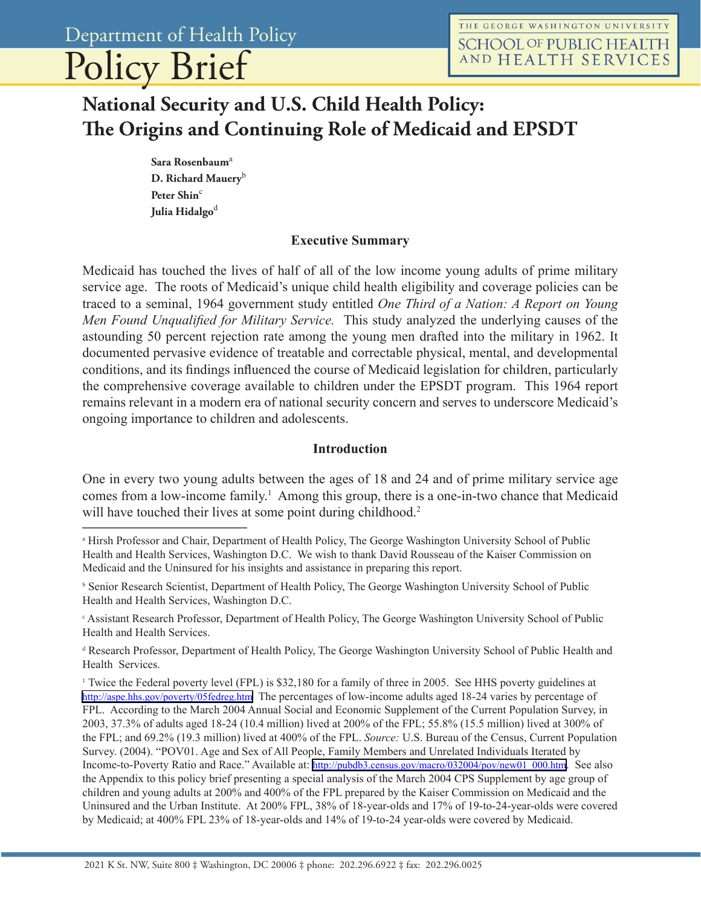# Policy Brief

# **National Security and U.S. Child Health Policy: The Origins and Continuing Role of Medicaid and EPSDT**

Sara Rosenbaum<sup>a</sup> **D. Richard Mauery**<sup>b</sup> Peter Shin<sup>c</sup> **Julia Hidalgo**<sup>d</sup>

#### **Executive Summary**

Medicaid has touched the lives of half of all of the low income young adults of prime military service age. The roots of Medicaid's unique child health eligibility and coverage policies can be traced to a seminal, 1964 government study entitled *One Third of a Nation: A Report on Young Men Found Unqualified for Military Service.* This study analyzed the underlying causes of the astounding 50 percent rejection rate among the young men drafted into the military in 1962. It documented pervasive evidence of treatable and correctable physical, mental, and developmental conditions, and its findings influenced the course of Medicaid legislation for children, particularly the comprehensive coverage available to children under the EPSDT program. This 1964 report remains relevant in a modern era of national security concern and serves to underscore Medicaid's ongoing importance to children and adolescents.

#### **Introduction**

One in every two young adults between the ages of 18 and 24 and of prime military service age comes from a low-income family.<sup>1</sup> Among this group, there is a one-in-two chance that Medicaid will have touched their lives at some point during childhood.<sup>2</sup>

c Assistant Research Professor, Department of Health Policy, The George Washington University School of Public Health and Health Services.

d Research Professor, Department of Health Policy, The George Washington University School of Public Health and Health Services.

<sup>1</sup> Twice the Federal poverty level (FPL) is \$32,180 for a family of three in 2005. See HHS poverty guidelines at <http://aspe.hhs.gov/poverty/05fedreg.htm>The percentages of low-income adults aged 18-24 varies by percentage of FPL. According to the March 2004 Annual Social and Economic Supplement of the Current Population Survey, in 2003, 37.3% of adults aged 18-24 (10.4 million) lived at 200% of the FPL; 55.8% (15.5 million) lived at 300% of the FPL; and 69.2% (19.3 million) lived at 400% of the FPL. *Source:* U.S. Bureau of the Census, Current Population Survey. (2004). "POV01. Age and Sex of All People, Family Members and Unrelated Individuals Iterated by Income-to-Poverty Ratio and Race." Available at: [http://pubdb3.census.gov/macro/032004/pov/new01\\_000.htm.](http://pubdb3.census.gov/macro/032004/pov/new01_000.htm) See also the Appendix to this policy brief presenting a special analysis of the March 2004 CPS Supplement by age group of children and young adults at 200% and 400% of the FPL prepared by the Kaiser Commission on Medicaid and the Uninsured and the Urban Institute. At 200% FPL, 38% of 18-year-olds and 17% of 19-to-24-year-olds were covered by Medicaid; at 400% FPL 23% of 18-year-olds and 14% of 19-to-24 year-olds were covered by Medicaid.

a Hirsh Professor and Chair, Department of Health Policy, The George Washington University School of Public Health and Health Services, Washington D.C. We wish to thank David Rousseau of the Kaiser Commission on Medicaid and the Uninsured for his insights and assistance in preparing this report.

b Senior Research Scientist, Department of Health Policy, The George Washington University School of Public Health and Health Services, Washington D.C.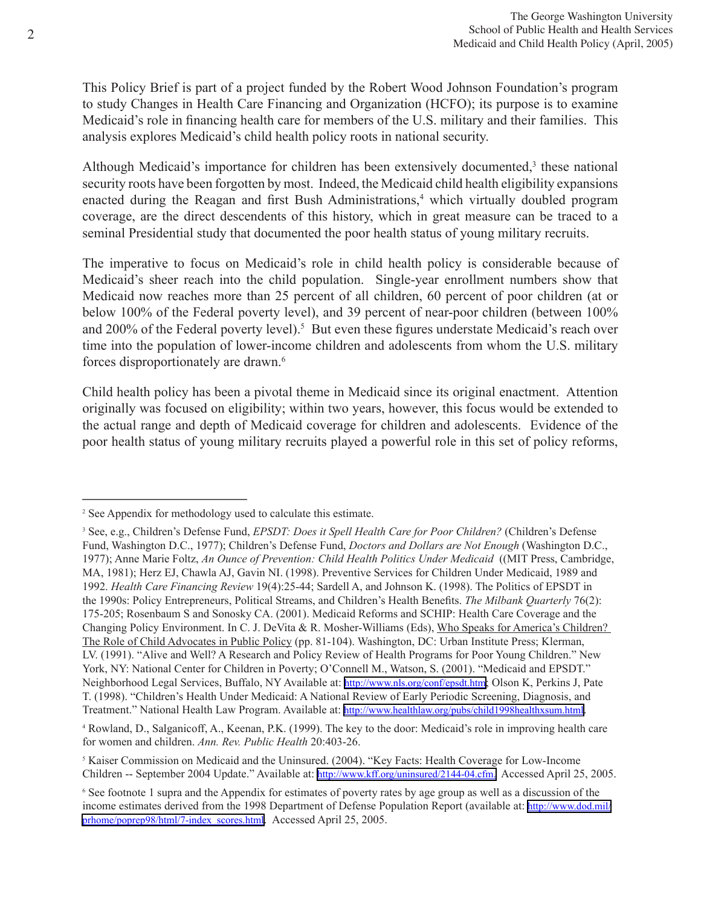This Policy Brief is part of a project funded by the Robert Wood Johnson Foundation's program to study Changes in Health Care Financing and Organization (HCFO); its purpose is to examine Medicaid's role in financing health care for members of the U.S. military and their families. This analysis explores Medicaid's child health policy roots in national security.

Although Medicaid's importance for children has been extensively documented,<sup>3</sup> these national security roots have been forgotten by most. Indeed, the Medicaid child health eligibility expansions enacted during the Reagan and first Bush Administrations,<sup>4</sup> which virtually doubled program coverage, are the direct descendents of this history, which in great measure can be traced to a seminal Presidential study that documented the poor health status of young military recruits.

The imperative to focus on Medicaid's role in child health policy is considerable because of Medicaid's sheer reach into the child population. Single-year enrollment numbers show that Medicaid now reaches more than 25 percent of all children, 60 percent of poor children (at or below 100% of the Federal poverty level), and 39 percent of near-poor children (between 100% and 200% of the Federal poverty level).<sup>5</sup> But even these figures understate Medicaid's reach over time into the population of lower-income children and adolescents from whom the U.S. military forces disproportionately are drawn.<sup>6</sup>

Child health policy has been a pivotal theme in Medicaid since its original enactment. Attention originally was focused on eligibility; within two years, however, this focus would be extended to the actual range and depth of Medicaid coverage for children and adolescents. Evidence of the poor health status of young military recruits played a powerful role in this set of policy reforms,

<sup>2</sup> See Appendix for methodology used to calculate this estimate.

<sup>3</sup> See, e.g., Children's Defense Fund, *EPSDT: Does it Spell Health Care for Poor Children?* (Children's Defense Fund, Washington D.C., 1977); Children's Defense Fund, *Doctors and Dollars are Not Enough* (Washington D.C., 1977); Anne Marie Foltz, *An Ounce of Prevention: Child Health Politics Under Medicaid* ((MIT Press, Cambridge, MA, 1981); Herz EJ, Chawla AJ, Gavin NI. (1998). Preventive Services for Children Under Medicaid, 1989 and 1992. *Health Care Financing Review* 19(4):25-44; Sardell A, and Johnson K. (1998). The Politics of EPSDT in the 1990s: Policy Entrepreneurs, Political Streams, and Children's Health Benefits. *The Milbank Quarterly* 76(2): 175-205; Rosenbaum S and Sonosky CA. (2001). Medicaid Reforms and SCHIP: Health Care Coverage and the Changing Policy Environment. In C. J. DeVita & R. Mosher-Williams (Eds), Who Speaks for America's Children? The Role of Child Advocates in Public Policy (pp. 81-104). Washington, DC: Urban Institute Press; Klerman, LV. (1991). "Alive and Well? A Research and Policy Review of Health Programs for Poor Young Children." New York, NY: National Center for Children in Poverty; O'Connell M., Watson, S. (2001). "Medicaid and EPSDT." Neighborhood Legal Services, Buffalo, NY Available at: <http://www.nls.org/conf/epsdt.htm>; Olson K, Perkins J, Pate T. (1998). "Children's Health Under Medicaid: A National Review of Early Periodic Screening, Diagnosis, and Treatment." National Health Law Program. Available at: [http://www.healthlaw.org/pubs/child1998healthxsum.html.](http://www.healthlaw.org/pubs/child1998healthxsum.html)

<sup>4</sup> Rowland, D., Salganicoff, A., Keenan, P.K. (1999). The key to the door: Medicaid's role in improving health care for women and children. *Ann. Rev. Public Health* 20:403-26.

<sup>5</sup> Kaiser Commission on Medicaid and the Uninsured. (2004). "Key Facts: Health Coverage for Low-Income Children -- September 2004 Update." Available at:<http://www.kff.org/uninsured/2144-04.cfm.> Accessed April 25, 2005.

<sup>6</sup> See footnote 1 supra and the Appendix for estimates of poverty rates by age group as well as a discussion of the income estimates derived from the 1998 Department of Defense Population Report (available at: [http://www.dod.mil/](http://www.dod.mil/prhome/poprep98/html/7-index_scores.html) [prhome/poprep98/html/7-index\\_scores.html.](http://www.dod.mil/prhome/poprep98/html/7-index_scores.html) Accessed April 25, 2005.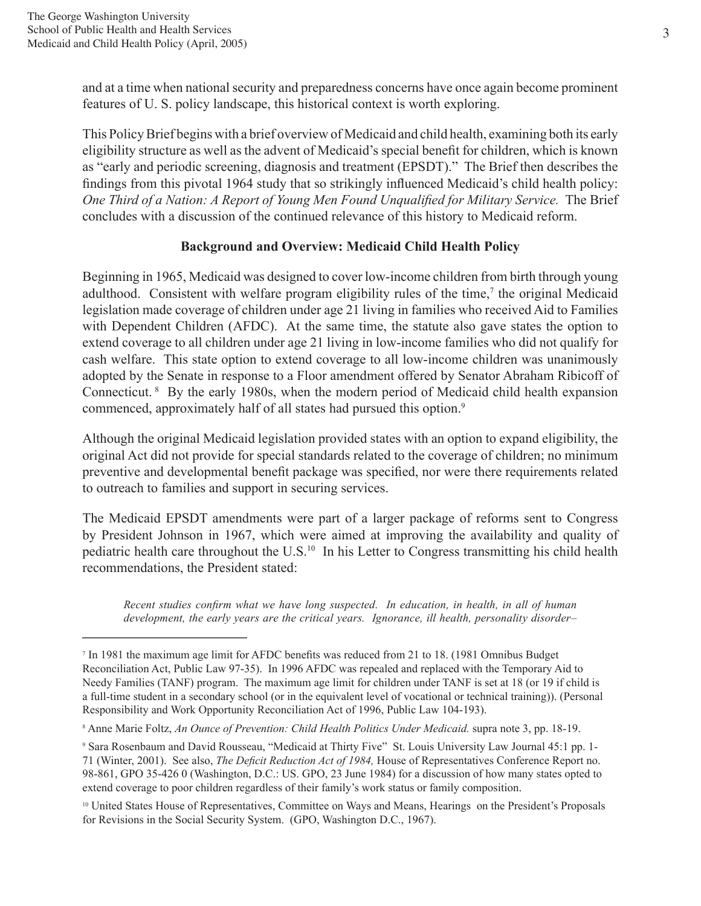and at a time when national security and preparedness concerns have once again become prominent features of U. S. policy landscape, this historical context is worth exploring.

This Policy Brief begins with a brief overview of Medicaid and child health, examining both its early eligibility structure as well as the advent of Medicaid's special benefit for children, which is known as "early and periodic screening, diagnosis and treatment (EPSDT)." The Brief then describes the findings from this pivotal 1964 study that so strikingly influenced Medicaid's child health policy: *One Third of a Nation: A Report of Young Men Found Unqualified for Military Service.* The Brief concludes with a discussion of the continued relevance of this history to Medicaid reform.

# **Background and Overview: Medicaid Child Health Policy**

Beginning in 1965, Medicaid was designed to cover low-income children from birth through young adulthood. Consistent with welfare program eligibility rules of the time,<sup>7</sup> the original Medicaid legislation made coverage of children under age 21 living in families who received Aid to Families with Dependent Children (AFDC). At the same time, the statute also gave states the option to extend coverage to all children under age 21 living in low-income families who did not qualify for cash welfare. This state option to extend coverage to all low-income children was unanimously adopted by the Senate in response to a Floor amendment offered by Senator Abraham Ribicoff of Connecticut. 8 By the early 1980s, when the modern period of Medicaid child health expansion commenced, approximately half of all states had pursued this option.<sup>9</sup>

Although the original Medicaid legislation provided states with an option to expand eligibility, the original Act did not provide for special standards related to the coverage of children; no minimum preventive and developmental benefit package was specified, nor were there requirements related to outreach to families and support in securing services.

The Medicaid EPSDT amendments were part of a larger package of reforms sent to Congress by President Johnson in 1967, which were aimed at improving the availability and quality of pediatric health care throughout the U.S.<sup>10</sup> In his Letter to Congress transmitting his child health recommendations, the President stated:

*Recent studies confirm what we have long suspected. In education, in health, in all of human development, the early years are the critical years. Ignorance, ill health, personality disorder–*

<sup>7</sup> In 1981 the maximum age limit for AFDC benefits was reduced from 21 to 18. (1981 Omnibus Budget Reconciliation Act, Public Law 97-35). In 1996 AFDC was repealed and replaced with the Temporary Aid to Needy Families (TANF) program. The maximum age limit for children under TANF is set at 18 (or 19 if child is a full-time student in a secondary school (or in the equivalent level of vocational or technical training)). (Personal Responsibility and Work Opportunity Reconciliation Act of 1996, Public Law 104-193).

<sup>8</sup> Anne Marie Foltz, *An Ounce of Prevention: Child Health Politics Under Medicaid.* supra note 3, pp. 18-19.

<sup>9</sup> Sara Rosenbaum and David Rousseau, "Medicaid at Thirty Five" St. Louis University Law Journal 45:1 pp. 1- 71 (Winter, 2001). See also, *The Deficit Reduction Act of 1984,* House of Representatives Conference Report no. 98-861, GPO 35-426 0 (Washington, D.C.: US. GPO, 23 June 1984) for a discussion of how many states opted to extend coverage to poor children regardless of their family's work status or family composition.

<sup>10</sup> United States House of Representatives, Committee on Ways and Means, Hearings on the President's Proposals for Revisions in the Social Security System. (GPO, Washington D.C., 1967).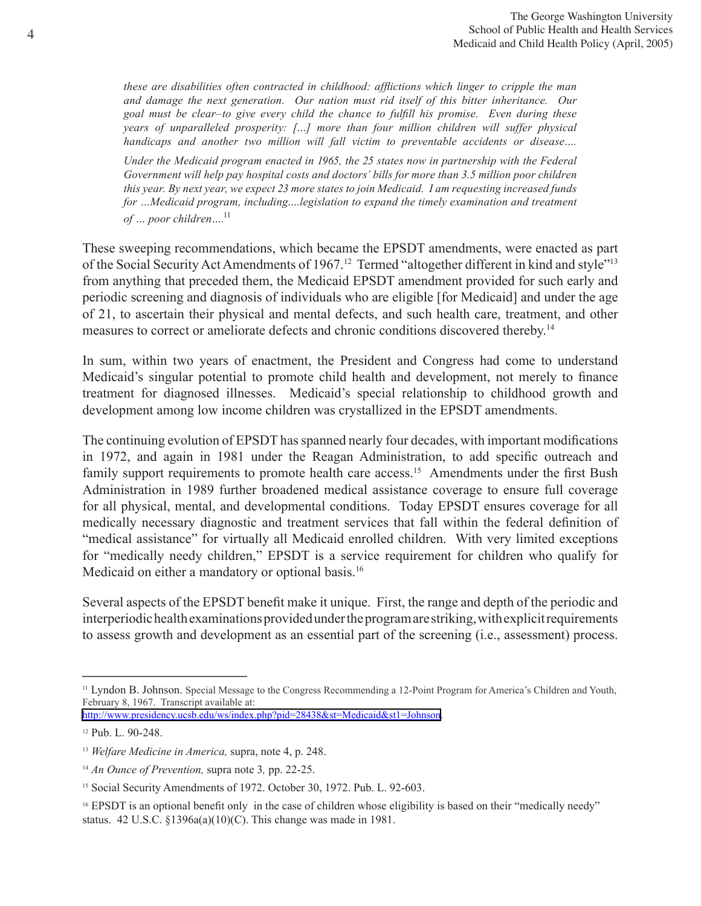*these are disabilities often contracted in childhood: afflictions which linger to cripple the man and damage the next generation. Our nation must rid itself of this bitter inheritance. Our goal must be clear–to give every child the chance to fulfill his promise. Even during these years of unparalleled prosperity: […] more than four million children will suffer physical handicaps and another two million will fall victim to preventable accidents or disease….* 

*Under the Medicaid program enacted in 1965, the 25 states now in partnership with the Federal Government will help pay hospital costs and doctors' bills for more than 3.5 million poor children this year. By next year, we expect 23 more states to join Medicaid. I am requesting increased funds for …Medicaid program, including….legislation to expand the timely examination and treatment of … poor children….*<sup>11</sup>

These sweeping recommendations, which became the EPSDT amendments, were enacted as part of the Social Security Act Amendments of 1967.<sup>12</sup> Termed "altogether different in kind and style"<sup>13</sup> from anything that preceded them, the Medicaid EPSDT amendment provided for such early and periodic screening and diagnosis of individuals who are eligible [for Medicaid] and under the age of 21, to ascertain their physical and mental defects, and such health care, treatment, and other measures to correct or ameliorate defects and chronic conditions discovered thereby.<sup>14</sup>

In sum, within two years of enactment, the President and Congress had come to understand Medicaid's singular potential to promote child health and development, not merely to finance treatment for diagnosed illnesses. Medicaid's special relationship to childhood growth and development among low income children was crystallized in the EPSDT amendments.

The continuing evolution of EPSDT has spanned nearly four decades, with important modifications in 1972, and again in 1981 under the Reagan Administration, to add specific outreach and family support requirements to promote health care access.<sup>15</sup> Amendments under the first Bush Administration in 1989 further broadened medical assistance coverage to ensure full coverage for all physical, mental, and developmental conditions. Today EPSDT ensures coverage for all medically necessary diagnostic and treatment services that fall within the federal definition of "medical assistance" for virtually all Medicaid enrolled children. With very limited exceptions for "medically needy children," EPSDT is a service requirement for children who qualify for Medicaid on either a mandatory or optional basis.<sup>16</sup>

Several aspects of the EPSDT benefit make it unique. First, the range and depth of the periodic and interperiodic health examinations provided under the program are striking, with explicit requirements to assess growth and development as an essential part of the screening (i.e., assessment) process.

<sup>11</sup> Lyndon B. Johnson. Special Message to the Congress Recommending a 12-Point Program for America's Children and Youth, February 8, 1967. Transcript available at:

<http://www.presidency.ucsb.edu/ws/index.php?pid=28438&st=Medicaid&st1=Johnson>.

<sup>12</sup> Pub. L. 90-248.

<sup>13</sup> *Welfare Medicine in America,* supra, note 4, p. 248.

<sup>14</sup> *An Ounce of Prevention,* supra note 3*,* pp. 22-25.

<sup>&</sup>lt;sup>15</sup> Social Security Amendments of 1972. October 30, 1972. Pub. L. 92-603.

<sup>&</sup>lt;sup>16</sup> EPSDT is an optional benefit only in the case of children whose eligibility is based on their "medically needy" status. 42 U.S.C. §1396a(a)(10)(C). This change was made in 1981.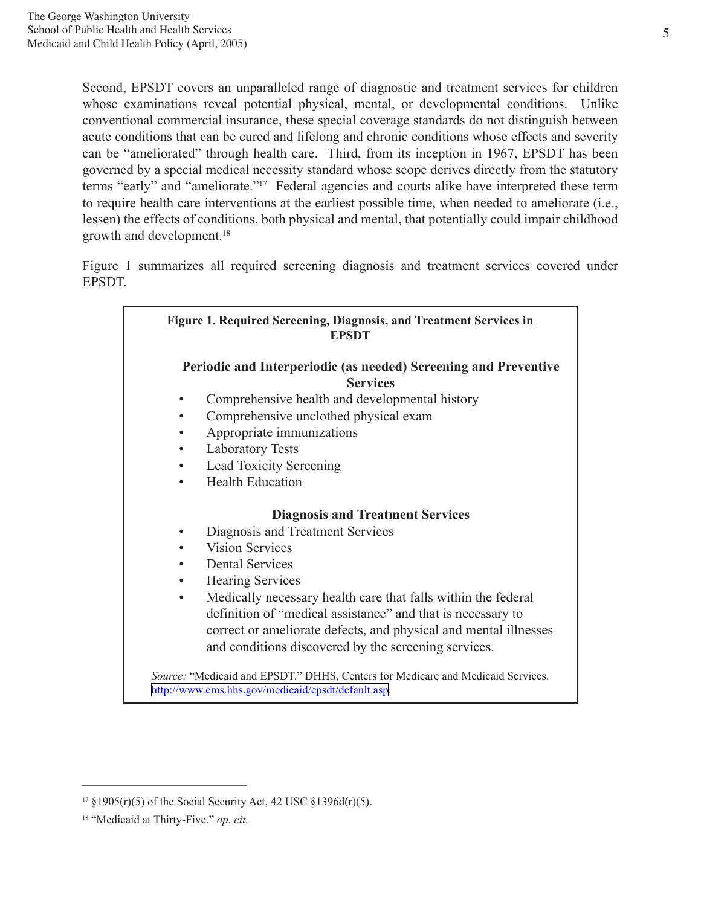Second, EPSDT covers an unparalleled range of diagnostic and treatment services for children whose examinations reveal potential physical, mental, or developmental conditions. Unlike conventional commercial insurance, these special coverage standards do not distinguish between acute conditions that can be cured and lifelong and chronic conditions whose effects and severity can be "ameliorated" through health care. Third, from its inception in 1967, EPSDT has been governed by a special medical necessity standard whose scope derives directly from the statutory terms "early" and "ameliorate."17 Federal agencies and courts alike have interpreted these term to require health care interventions at the earliest possible time, when needed to ameliorate (i.e., lessen) the effects of conditions, both physical and mental, that potentially could impair childhood growth and development.<sup>18</sup>

Figure 1 summarizes all required screening diagnosis and treatment services covered under EPSDT.

| <b>Figure 1. Required Screening, Diagnosis, and Treatment Services in</b><br><b>EPSDT</b>                                             |  |
|---------------------------------------------------------------------------------------------------------------------------------------|--|
| Periodic and Interperiodic (as needed) Screening and Preventive<br><b>Services</b>                                                    |  |
| Comprehensive health and developmental history                                                                                        |  |
| Comprehensive unclothed physical exam                                                                                                 |  |
| Appropriate immunizations                                                                                                             |  |
| <b>Laboratory Tests</b><br>٠                                                                                                          |  |
| <b>Lead Toxicity Screening</b>                                                                                                        |  |
| <b>Health Education</b><br>$\bullet$                                                                                                  |  |
| <b>Diagnosis and Treatment Services</b>                                                                                               |  |
| Diagnosis and Treatment Services<br>٠                                                                                                 |  |
| <b>Vision Services</b>                                                                                                                |  |
| <b>Dental Services</b>                                                                                                                |  |
| <b>Hearing Services</b>                                                                                                               |  |
| Medically necessary health care that falls within the federal<br>$\bullet$                                                            |  |
| definition of "medical assistance" and that is necessary to                                                                           |  |
| correct or ameliorate defects, and physical and mental illnesses                                                                      |  |
| and conditions discovered by the screening services.                                                                                  |  |
| Source: "Medicaid and EPSDT." DHHS, Centers for Medicare and Medicaid Services.<br>http://www.cms.hhs.gov/medicaid/epsdt/default.asp. |  |

<sup>&</sup>lt;sup>17</sup> §1905(r)(5) of the Social Security Act, 42 USC §1396d(r)(5).

<sup>18 &</sup>quot;Medicaid at Thirty-Five." *op. cit.*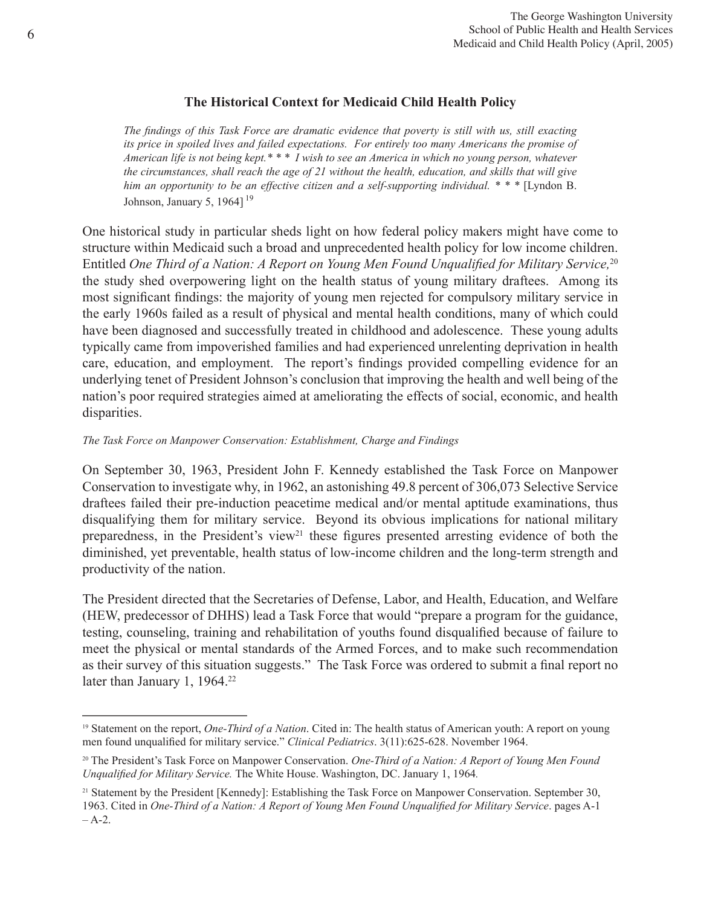# **The Historical Context for Medicaid Child Health Policy**

*The findings of this Task Force are dramatic evidence that poverty is still with us, still exacting its price in spoiled lives and failed expectations. For entirely too many Americans the promise of American life is not being kept.\* \* \* I wish to see an America in which no young person, whatever the circumstances, shall reach the age of 21 without the health, education, and skills that will give him an opportunity to be an effective citizen and a self-supporting individual. \* \* \** [Lyndon B. Johnson, January 5, 1964]<sup>19</sup>

One historical study in particular sheds light on how federal policy makers might have come to structure within Medicaid such a broad and unprecedented health policy for low income children. Entitled *One Third of a Nation: A Report on Young Men Found Unqualified for Military Service,*<sup>20</sup> the study shed overpowering light on the health status of young military draftees. Among its most significant findings: the majority of young men rejected for compulsory military service in the early 1960s failed as a result of physical and mental health conditions, many of which could have been diagnosed and successfully treated in childhood and adolescence. These young adults typically came from impoverished families and had experienced unrelenting deprivation in health care, education, and employment. The report's findings provided compelling evidence for an underlying tenet of President Johnson's conclusion that improving the health and well being of the nation's poor required strategies aimed at ameliorating the effects of social, economic, and health disparities.

#### *The Task Force on Manpower Conservation: Establishment, Charge and Findings*

On September 30, 1963, President John F. Kennedy established the Task Force on Manpower Conservation to investigate why, in 1962, an astonishing 49.8 percent of 306,073 Selective Service draftees failed their pre-induction peacetime medical and/or mental aptitude examinations, thus disqualifying them for military service. Beyond its obvious implications for national military preparedness, in the President's view<sup>21</sup> these figures presented arresting evidence of both the diminished, yet preventable, health status of low-income children and the long-term strength and productivity of the nation.

The President directed that the Secretaries of Defense, Labor, and Health, Education, and Welfare (HEW, predecessor of DHHS) lead a Task Force that would "prepare a program for the guidance, testing, counseling, training and rehabilitation of youths found disqualified because of failure to meet the physical or mental standards of the Armed Forces, and to make such recommendation as their survey of this situation suggests." The Task Force was ordered to submit a final report no later than January 1, 1964.<sup>22</sup>

<sup>19</sup> Statement on the report, *One-Third of a Nation*. Cited in: The health status of American youth: A report on young men found unqualified for military service." *Clinical Pediatrics*. 3(11):625-628. November 1964.

<sup>20</sup> The President's Task Force on Manpower Conservation. *One-Third of a Nation: A Report of Young Men Found Unqualified for Military Service.* The White House. Washington, DC. January 1, 1964*.*

<sup>21</sup> Statement by the President [Kennedy]: Establishing the Task Force on Manpower Conservation. September 30, 1963. Cited in *One-Third of a Nation: A Report of Young Men Found Unqualified for Military Service*. pages A-1  $-A-2$ .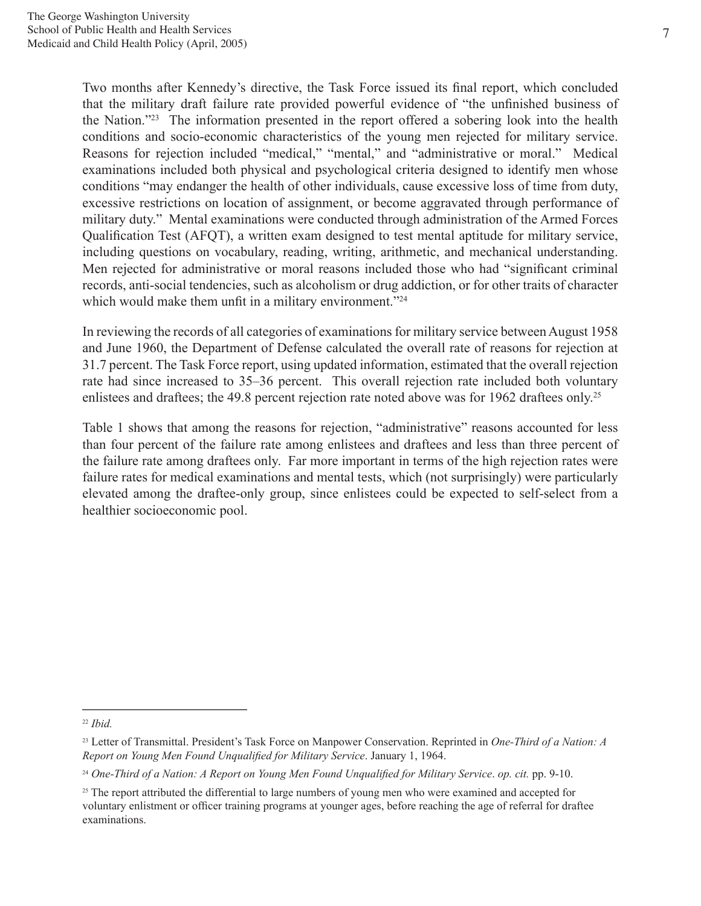Two months after Kennedy's directive, the Task Force issued its final report, which concluded that the military draft failure rate provided powerful evidence of "the unfinished business of the Nation."23 The information presented in the report offered a sobering look into the health conditions and socio-economic characteristics of the young men rejected for military service. Reasons for rejection included "medical," "mental," and "administrative or moral." Medical examinations included both physical and psychological criteria designed to identify men whose conditions "may endanger the health of other individuals, cause excessive loss of time from duty, excessive restrictions on location of assignment, or become aggravated through performance of military duty." Mental examinations were conducted through administration of the Armed Forces Qualification Test (AFQT), a written exam designed to test mental aptitude for military service, including questions on vocabulary, reading, writing, arithmetic, and mechanical understanding. Men rejected for administrative or moral reasons included those who had "significant criminal records, anti-social tendencies, such as alcoholism or drug addiction, or for other traits of character which would make them unfit in a military environment."<sup>24</sup>

In reviewing the records of all categories of examinations for military service between August 1958 and June 1960, the Department of Defense calculated the overall rate of reasons for rejection at 31.7 percent. The Task Force report, using updated information, estimated that the overall rejection rate had since increased to 35–36 percent. This overall rejection rate included both voluntary enlistees and draftees; the 49.8 percent rejection rate noted above was for 1962 draftees only.<sup>25</sup>

Table 1 shows that among the reasons for rejection, "administrative" reasons accounted for less than four percent of the failure rate among enlistees and draftees and less than three percent of the failure rate among draftees only. Far more important in terms of the high rejection rates were failure rates for medical examinations and mental tests, which (not surprisingly) were particularly elevated among the draftee-only group, since enlistees could be expected to self-select from a healthier socioeconomic pool.

<sup>22</sup> *Ibid.*

<sup>23</sup> Letter of Transmittal. President's Task Force on Manpower Conservation. Reprinted in *One-Third of a Nation: A Report on Young Men Found Unqualified for Military Service*. January 1, 1964.

<sup>24</sup> *One-Third of a Nation: A Report on Young Men Found Unqualified for Military Service*. *op. cit.* pp. 9-10.

<sup>&</sup>lt;sup>25</sup> The report attributed the differential to large numbers of young men who were examined and accepted for voluntary enlistment or officer training programs at younger ages, before reaching the age of referral for draftee examinations.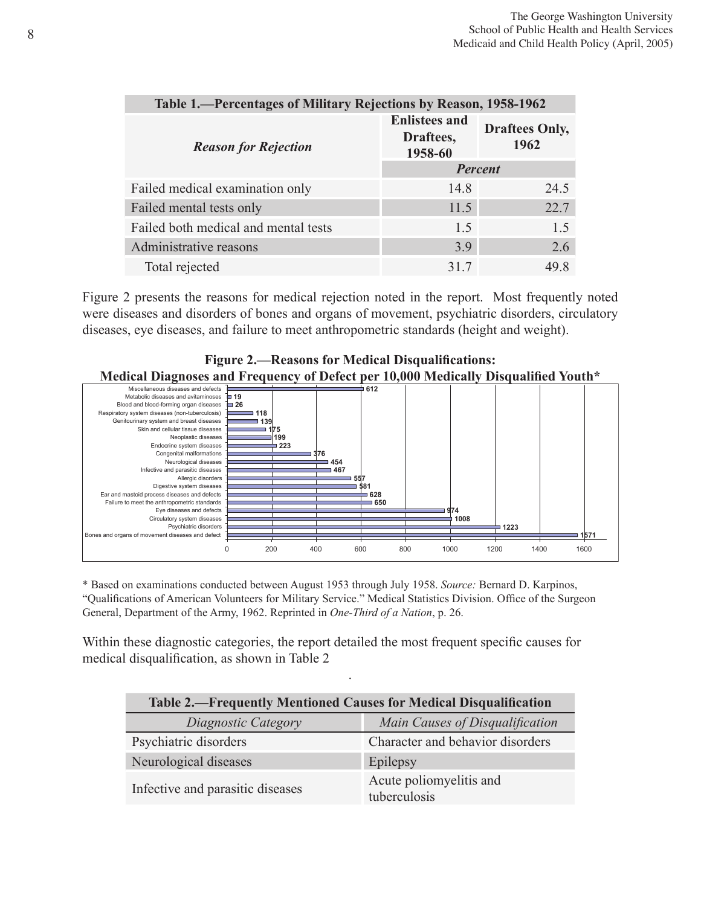| Table 1.—Percentages of Military Rejections by Reason, 1958-1962 |                                              |                               |
|------------------------------------------------------------------|----------------------------------------------|-------------------------------|
| <b>Reason for Rejection</b>                                      | <b>Enlistees and</b><br>Draftees,<br>1958-60 | <b>Draftees Only,</b><br>1962 |
|                                                                  | Percent                                      |                               |
| Failed medical examination only                                  | 14.8                                         | 24.5                          |
| Failed mental tests only                                         | 11.5                                         | 22.7                          |
| Failed both medical and mental tests                             | 1.5                                          | 1.5                           |
| Administrative reasons                                           | 3.9                                          | 2.6                           |
| Total rejected                                                   | 31.7                                         | 49 8                          |

Figure 2 presents the reasons for medical rejection noted in the report. Most frequently noted were diseases and disorders of bones and organs of movement, psychiatric disorders, circulatory diseases, eye diseases, and failure to meet anthropometric standards (height and weight).

#### **Figure 2.—Reasons for Medical Disqualifications: Medical Diagnoses and Frequency of Defect per 10,000 Medically Disqualified Youth\***



\* Based on examinations conducted between August 1953 through July 1958. *Source:* Bernard D. Karpinos, "Qualifications of American Volunteers for Military Service." Medical Statistics Division. Office of the Surgeon General, Department of the Army, 1962. Reprinted in *One-Third of a Nation*, p. 26.

Within these diagnostic categories, the report detailed the most frequent specific causes for medical disqualification, as shown in Table 2

| Table 2.—Frequently Mentioned Causes for Medical Disqualification |                                         |  |
|-------------------------------------------------------------------|-----------------------------------------|--|
| Diagnostic Category                                               | Main Causes of Disqualification         |  |
| Psychiatric disorders                                             | Character and behavior disorders        |  |
| Neurological diseases                                             | Epilepsy                                |  |
| Infective and parasitic diseases                                  | Acute poliomyelitis and<br>tuberculosis |  |

.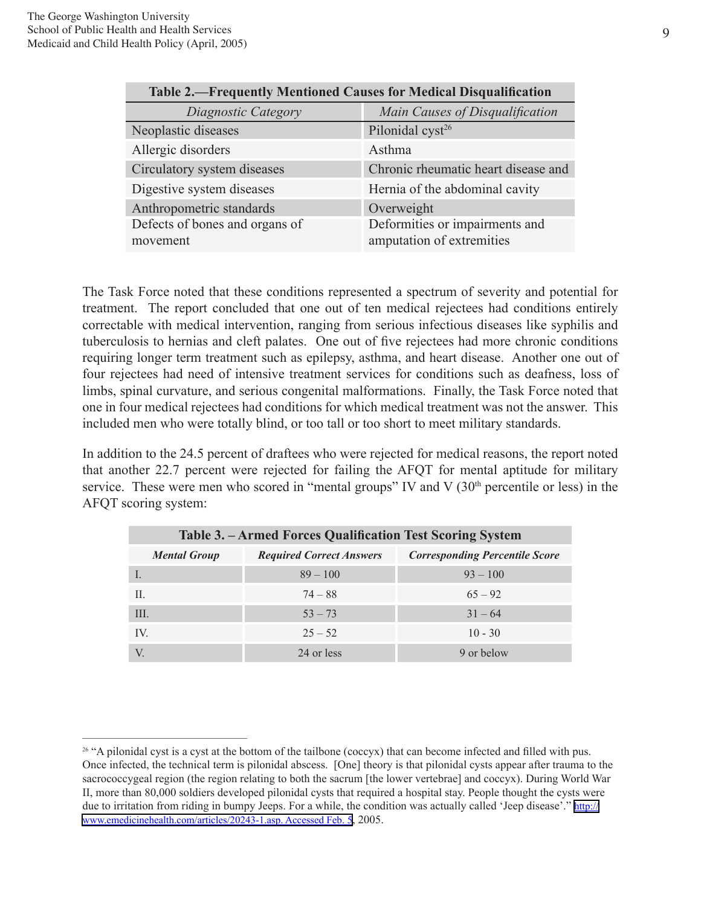| <b>Table 2.—Frequently Mentioned Causes for Medical Disqualification</b> |                                     |  |
|--------------------------------------------------------------------------|-------------------------------------|--|
| Diagnostic Category                                                      | Main Causes of Disqualification     |  |
| Neoplastic diseases                                                      | Pilonidal cyst <sup>26</sup>        |  |
| Allergic disorders                                                       | Asthma                              |  |
| Circulatory system diseases                                              | Chronic rheumatic heart disease and |  |
| Digestive system diseases                                                | Hernia of the abdominal cavity      |  |
| Anthropometric standards                                                 | Overweight                          |  |
| Defects of bones and organs of                                           | Deformities or impairments and      |  |
| movement                                                                 | amputation of extremities           |  |

The Task Force noted that these conditions represented a spectrum of severity and potential for treatment. The report concluded that one out of ten medical rejectees had conditions entirely correctable with medical intervention, ranging from serious infectious diseases like syphilis and tuberculosis to hernias and cleft palates. One out of five rejectees had more chronic conditions requiring longer term treatment such as epilepsy, asthma, and heart disease. Another one out of four rejectees had need of intensive treatment services for conditions such as deafness, loss of limbs, spinal curvature, and serious congenital malformations. Finally, the Task Force noted that one in four medical rejectees had conditions for which medical treatment was not the answer. This included men who were totally blind, or too tall or too short to meet military standards.

In addition to the 24.5 percent of draftees who were rejected for medical reasons, the report noted that another 22.7 percent were rejected for failing the AFQT for mental aptitude for military service. These were men who scored in "mental groups" IV and V  $(30<sup>th</sup>$  percentile or less) in the AFQT scoring system:

| Table 3. – Armed Forces Qualification Test Scoring System |                                 |                                       |  |
|-----------------------------------------------------------|---------------------------------|---------------------------------------|--|
| <b>Mental Group</b>                                       | <b>Required Correct Answers</b> | <b>Corresponding Percentile Score</b> |  |
|                                                           | $89 - 100$                      | $93 - 100$                            |  |
| Н.                                                        | $74 - 88$                       | $65 - 92$                             |  |
| Ш.                                                        | $53 - 73$                       | $31 - 64$                             |  |
| IV.                                                       | $25 - 52$                       | $10 - 30$                             |  |
|                                                           | 24 or less                      | 9 or below                            |  |

<sup>&</sup>lt;sup>26</sup> "A pilonidal cyst is a cyst at the bottom of the tailbone (coccyx) that can become infected and filled with pus. Once infected, the technical term is pilonidal abscess. [One] theory is that pilonidal cysts appear after trauma to the sacrococcygeal region (the region relating to both the sacrum [the lower vertebrae] and coccyx). During World War II, more than 80,000 soldiers developed pilonidal cysts that required a hospital stay. People thought the cysts were due to irritation from riding in bumpy Jeeps. For a while, the condition was actually called 'Jeep disease'." [http://](http://www.emedicinehealth.com/articles/20243-1.asp. Accessed Feb. 5) [www.emedicinehealth.com/articles/20243-1.asp. Accessed Feb. 5,](http://www.emedicinehealth.com/articles/20243-1.asp. Accessed Feb. 5) 2005.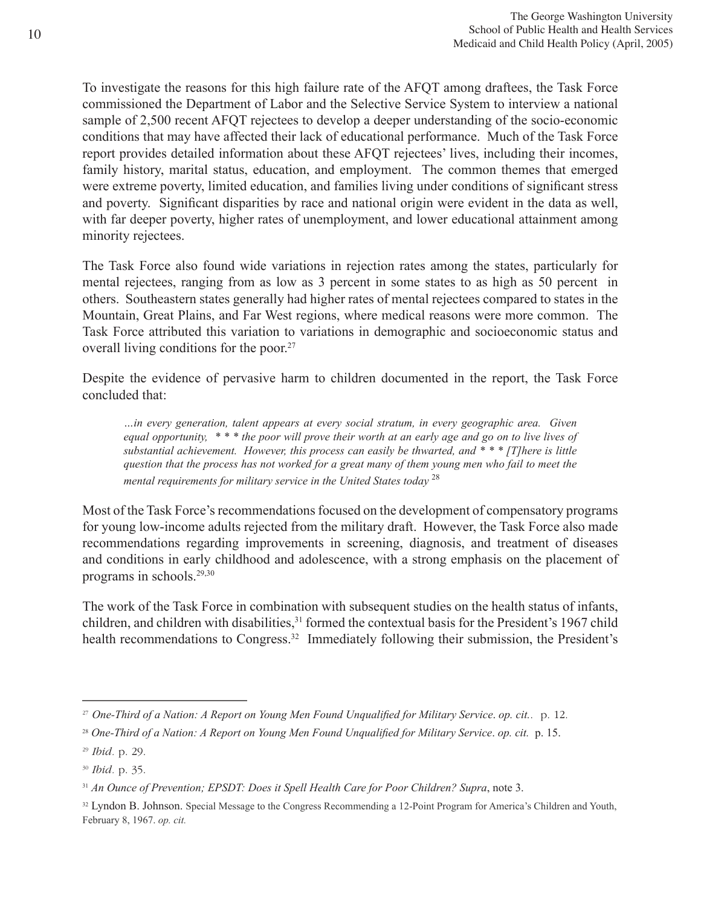To investigate the reasons for this high failure rate of the AFQT among draftees, the Task Force commissioned the Department of Labor and the Selective Service System to interview a national sample of 2,500 recent AFQT rejectees to develop a deeper understanding of the socio-economic conditions that may have affected their lack of educational performance. Much of the Task Force report provides detailed information about these AFQT rejectees' lives, including their incomes, family history, marital status, education, and employment. The common themes that emerged were extreme poverty, limited education, and families living under conditions of significant stress and poverty. Significant disparities by race and national origin were evident in the data as well, with far deeper poverty, higher rates of unemployment, and lower educational attainment among minority rejectees.

The Task Force also found wide variations in rejection rates among the states, particularly for mental rejectees, ranging from as low as 3 percent in some states to as high as 50 percent in others. Southeastern states generally had higher rates of mental rejectees compared to states in the Mountain, Great Plains, and Far West regions, where medical reasons were more common. The Task Force attributed this variation to variations in demographic and socioeconomic status and overall living conditions for the poor.27

Despite the evidence of pervasive harm to children documented in the report, the Task Force concluded that:

*…in every generation, talent appears at every social stratum, in every geographic area. Given equal opportunity, \* \* \* the poor will prove their worth at an early age and go on to live lives of substantial achievement. However, this process can easily be thwarted, and \* \* \* [T]here is little question that the process has not worked for a great many of them young men who fail to meet the mental requirements for military service in the United States today* <sup>28</sup>

Most of the Task Force's recommendations focused on the development of compensatory programs for young low-income adults rejected from the military draft. However, the Task Force also made recommendations regarding improvements in screening, diagnosis, and treatment of diseases and conditions in early childhood and adolescence, with a strong emphasis on the placement of programs in schools.29,30

The work of the Task Force in combination with subsequent studies on the health status of infants, children, and children with disabilities,<sup>31</sup> formed the contextual basis for the President's 1967 child health recommendations to Congress.<sup>32</sup> Immediately following their submission, the President's

<sup>27</sup> *One-Third of a Nation: A Report on Young Men Found Unqualified for Military Service*. *op. cit.*. p. 12.

<sup>28</sup> *One-Third of a Nation: A Report on Young Men Found Unqualified for Military Service*. *op. cit.* p. 15.

<sup>29</sup> *Ibid.* p. 29.

<sup>30</sup> *Ibid.* p. 35.

<sup>31</sup> *An Ounce of Prevention; EPSDT: Does it Spell Health Care for Poor Children? Supra*, note 3.

<sup>&</sup>lt;sup>32</sup> Lyndon B. Johnson. Special Message to the Congress Recommending a 12-Point Program for America's Children and Youth, February 8, 1967. *op. cit.*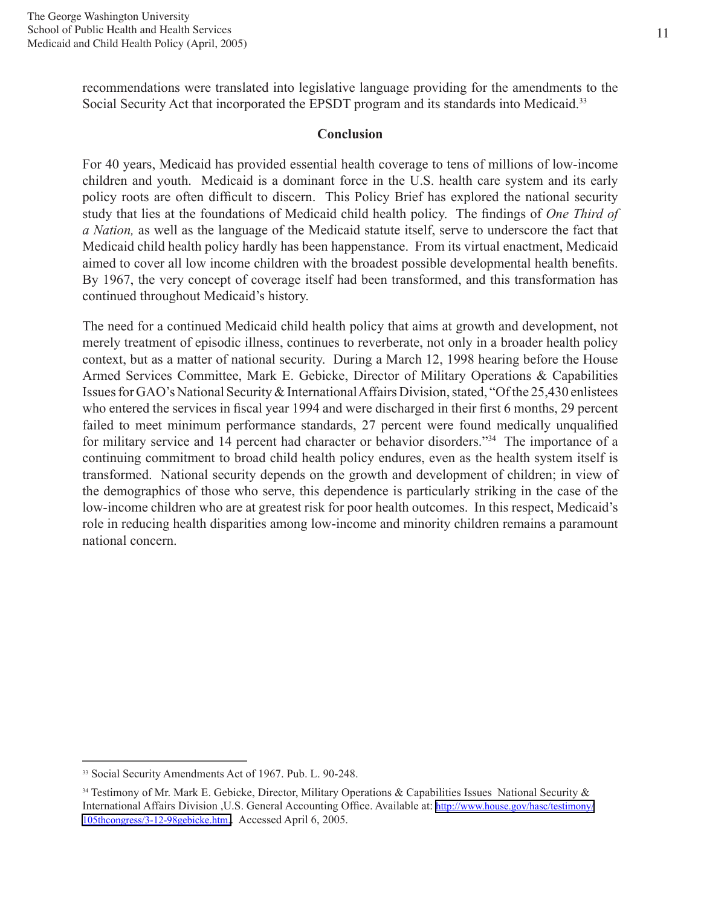recommendations were translated into legislative language providing for the amendments to the Social Security Act that incorporated the EPSDT program and its standards into Medicaid.<sup>33</sup>

#### **Conclusion**

For 40 years, Medicaid has provided essential health coverage to tens of millions of low-income children and youth. Medicaid is a dominant force in the U.S. health care system and its early policy roots are often difficult to discern. This Policy Brief has explored the national security study that lies at the foundations of Medicaid child health policy. The findings of *One Third of a Nation,* as well as the language of the Medicaid statute itself, serve to underscore the fact that Medicaid child health policy hardly has been happenstance. From its virtual enactment, Medicaid aimed to cover all low income children with the broadest possible developmental health benefits. By 1967, the very concept of coverage itself had been transformed, and this transformation has continued throughout Medicaid's history.

The need for a continued Medicaid child health policy that aims at growth and development, not merely treatment of episodic illness, continues to reverberate, not only in a broader health policy context, but as a matter of national security. During a March 12, 1998 hearing before the House Armed Services Committee, Mark E. Gebicke, Director of Military Operations & Capabilities Issues for GAO's National Security & International Affairs Division, stated, "Of the 25,430 enlistees who entered the services in fiscal year 1994 and were discharged in their first 6 months, 29 percent failed to meet minimum performance standards, 27 percent were found medically unqualified for military service and 14 percent had character or behavior disorders."34 The importance of a continuing commitment to broad child health policy endures, even as the health system itself is transformed. National security depends on the growth and development of children; in view of the demographics of those who serve, this dependence is particularly striking in the case of the low-income children who are at greatest risk for poor health outcomes. In this respect, Medicaid's role in reducing health disparities among low-income and minority children remains a paramount national concern.

<sup>33</sup> Social Security Amendments Act of 1967. Pub. L. 90-248.

<sup>&</sup>lt;sup>34</sup> Testimony of Mr. Mark E. Gebicke, Director, Military Operations & Capabilities Issues National Security & International Affairs Division ,U.S. General Accounting Office. Available at: [http://www.house.gov/hasc/testimony/](http://www.house.gov/hasc/testimony/105thcongress/3-12-98gebicke.htm. Accessed April 6) [105thcongress/3-12-98gebicke.htm.](http://www.house.gov/hasc/testimony/105thcongress/3-12-98gebicke.htm. Accessed April 6). Accessed April 6, 2005.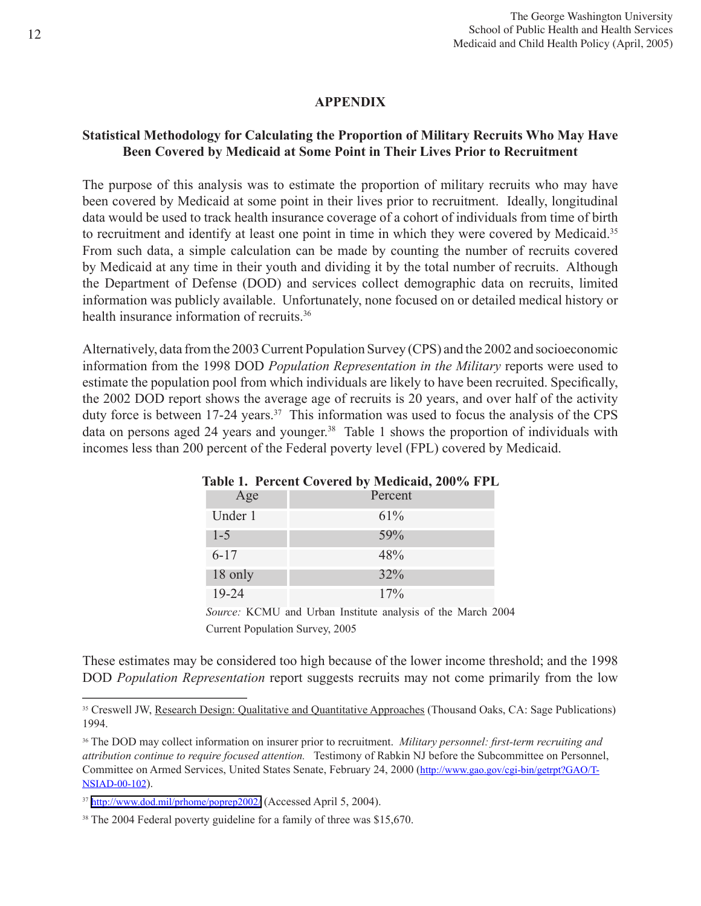#### **APPENDIX**

# **Statistical Methodology for Calculating the Proportion of Military Recruits Who May Have Been Covered by Medicaid at Some Point in Their Lives Prior to Recruitment**

The purpose of this analysis was to estimate the proportion of military recruits who may have been covered by Medicaid at some point in their lives prior to recruitment. Ideally, longitudinal data would be used to track health insurance coverage of a cohort of individuals from time of birth to recruitment and identify at least one point in time in which they were covered by Medicaid.<sup>35</sup> From such data, a simple calculation can be made by counting the number of recruits covered by Medicaid at any time in their youth and dividing it by the total number of recruits. Although the Department of Defense (DOD) and services collect demographic data on recruits, limited information was publicly available. Unfortunately, none focused on or detailed medical history or health insurance information of recruits.<sup>36</sup>

Alternatively, data from the 2003 Current Population Survey (CPS) and the 2002 and socioeconomic information from the 1998 DOD *Population Representation in the Military* reports were used to estimate the population pool from which individuals are likely to have been recruited. Specifically, the 2002 DOD report shows the average age of recruits is 20 years, and over half of the activity duty force is between 17-24 years.<sup>37</sup> This information was used to focus the analysis of the CPS data on persons aged 24 years and younger.<sup>38</sup> Table 1 shows the proportion of individuals with incomes less than 200 percent of the Federal poverty level (FPL) covered by Medicaid.

| Age      | Percent |
|----------|---------|
| Under 1  | 61%     |
| $1 - 5$  | 59%     |
| $6 - 17$ | 48%     |
| 18 only  | 32%     |
| 19-24    | 17%     |

#### **Table 1. Percent Covered by Medicaid, 200% FPL**

*Source:* KCMU and Urban Institute analysis of the March 2004 Current Population Survey, 2005

These estimates may be considered too high because of the lower income threshold; and the 1998 DOD *Population Representation* report suggests recruits may not come primarily from the low

<sup>&</sup>lt;sup>35</sup> Creswell JW, Research Design: Qualitative and Quantitative Approaches (Thousand Oaks, CA: Sage Publications) 1994.

<sup>36</sup> The DOD may collect information on insurer prior to recruitment. *Military personnel: first-term recruiting and attribution continue to require focused attention.* Testimony of Rabkin NJ before the Subcommittee on Personnel, Committee on Armed Services, United States Senate, February 24, 2000 (http://www.gao.gov/cgi-bin/getrpt?GAO/T-NSIAD-00-102).

<sup>&</sup>lt;sup>37</sup> <http://www.dod.mil/prhome/poprep2002/> (Accessed April 5, 2004).

<sup>&</sup>lt;sup>38</sup> The 2004 Federal poverty guideline for a family of three was \$15,670.